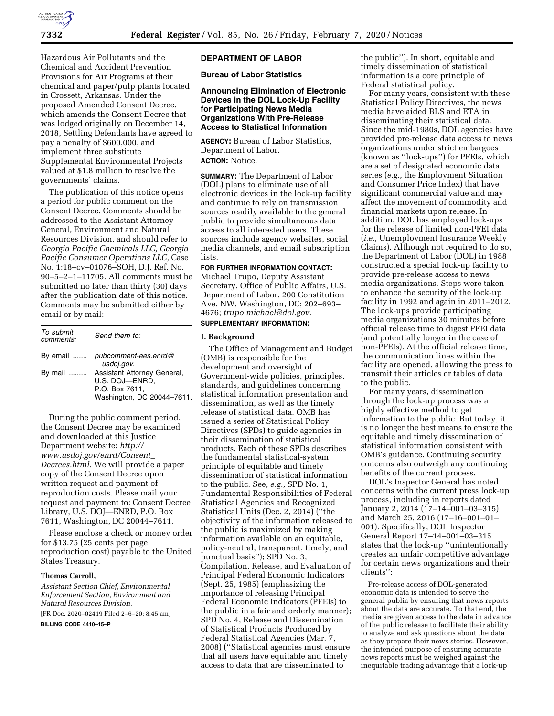

Hazardous Air Pollutants and the Chemical and Accident Prevention Provisions for Air Programs at their chemical and paper/pulp plants located in Crossett, Arkansas. Under the proposed Amended Consent Decree, which amends the Consent Decree that was lodged originally on December 14, 2018, Settling Defendants have agreed to pay a penalty of \$600,000, and implement three substitute Supplemental Environmental Projects valued at \$1.8 million to resolve the governments' claims.

The publication of this notice opens a period for public comment on the Consent Decree. Comments should be addressed to the Assistant Attorney General, Environment and Natural Resources Division, and should refer to *Georgia Pacific Chemicals LLC, Georgia Pacific Consumer Operations LLC,* Case No. 1:18–cv–01076–SOH, D.J. Ref. No. 90–5–2–1–11705. All comments must be submitted no later than thirty (30) days after the publication date of this notice. Comments may be submitted either by email or by mail:

| To submit<br>comments: | Send them to:                                                                                 |
|------------------------|-----------------------------------------------------------------------------------------------|
| By email               | pubcomment-ees.enrd@<br>usdoj.gov.                                                            |
| By mail                | Assistant Attorney General,<br>U.S. DOJ-ENRD,<br>P.O. Box 7611,<br>Washington, DC 20044-7611. |

During the public comment period, the Consent Decree may be examined and downloaded at this Justice Department website: *[http://](http://www.usdoj.gov/enrd/Consent_Decrees.html) [www.usdoj.gov/enrd/Consent](http://www.usdoj.gov/enrd/Consent_Decrees.html)*\_ *[Decrees.html.](http://www.usdoj.gov/enrd/Consent_Decrees.html)* We will provide a paper copy of the Consent Decree upon written request and payment of reproduction costs. Please mail your request and payment to: Consent Decree Library, U.S. DOJ—ENRD, P.O. Box 7611, Washington, DC 20044–7611.

Please enclose a check or money order for \$13.75 (25 cents per page reproduction cost) payable to the United States Treasury.

### **Thomas Carroll,**

*Assistant Section Chief, Environmental Enforcement Section, Environment and Natural Resources Division.*  [FR Doc. 2020–02419 Filed 2–6–20; 8:45 am]

**BILLING CODE 4410–15–P** 

### **DEPARTMENT OF LABOR**

**Bureau of Labor Statistics** 

## **Announcing Elimination of Electronic Devices in the DOL Lock-Up Facility for Participating News Media Organizations With Pre-Release Access to Statistical Information**

**AGENCY:** Bureau of Labor Statistics, Department of Labor. **ACTION:** Notice.

**SUMMARY:** The Department of Labor (DOL) plans to eliminate use of all electronic devices in the lock-up facility and continue to rely on transmission sources readily available to the general public to provide simultaneous data access to all interested users. These sources include agency websites, social media channels, and email subscription lists.

## **FOR FURTHER INFORMATION CONTACT:**

Michael Trupo, Deputy Assistant Secretary, Office of Public Affairs, U.S. Department of Labor, 200 Constitution Ave. NW, Washington, DC; 202–693– 4676; *[trupo.michael@dol.gov.](mailto:trupo.michael@dol.gov)* 

# **SUPPLEMENTARY INFORMATION:**

#### **I. Background**

The Office of Management and Budget (OMB) is responsible for the development and oversight of Government-wide policies, principles, standards, and guidelines concerning statistical information presentation and dissemination, as well as the timely release of statistical data. OMB has issued a series of Statistical Policy Directives (SPDs) to guide agencies in their dissemination of statistical products. Each of these SPDs describes the fundamental statistical-system principle of equitable and timely dissemination of statistical information to the public. See, *e.g.,* SPD No. 1, Fundamental Responsibilities of Federal Statistical Agencies and Recognized Statistical Units (Dec. 2, 2014) (''the objectivity of the information released to the public is maximized by making information available on an equitable, policy-neutral, transparent, timely, and punctual basis''); SPD No. 3, Compilation, Release, and Evaluation of Principal Federal Economic Indicators (Sept. 25, 1985) (emphasizing the importance of releasing Principal Federal Economic Indicators (PFEIs) to the public in a fair and orderly manner); SPD No. 4, Release and Dissemination of Statistical Products Produced by Federal Statistical Agencies (Mar. 7, 2008) (''Statistical agencies must ensure that all users have equitable and timely access to data that are disseminated to

the public''). In short, equitable and timely dissemination of statistical information is a core principle of Federal statistical policy.

For many years, consistent with these Statistical Policy Directives, the news media have aided BLS and ETA in disseminating their statistical data. Since the mid-1980s, DOL agencies have provided pre-release data access to news organizations under strict embargoes (known as ''lock-ups'') for PFEIs, which are a set of designated economic data series (*e.g.,* the Employment Situation and Consumer Price Index) that have significant commercial value and may affect the movement of commodity and financial markets upon release. In addition, DOL has employed lock-ups for the release of limited non-PFEI data (*i.e.,* Unemployment Insurance Weekly Claims). Although not required to do so, the Department of Labor (DOL) in 1988 constructed a special lock-up facility to provide pre-release access to news media organizations. Steps were taken to enhance the security of the lock-up facility in 1992 and again in 2011–2012. The lock-ups provide participating media organizations 30 minutes before official release time to digest PFEI data (and potentially longer in the case of non-PFEIs). At the official release time, the communication lines within the facility are opened, allowing the press to transmit their articles or tables of data to the public.

For many years, dissemination through the lock-up process was a highly effective method to get information to the public. But today, it is no longer the best means to ensure the equitable and timely dissemination of statistical information consistent with OMB's guidance. Continuing security concerns also outweigh any continuing benefits of the current process.

DOL's Inspector General has noted concerns with the current press lock-up process, including in reports dated January 2, 2014 (17–14–001–03–315) and March 25, 2016 (17–16–001–01– 001). Specifically, DOL Inspector General Report 17–14–001–03–315 states that the lock-up ''unintentionally creates an unfair competitive advantage for certain news organizations and their clients'':

Pre-release access of DOL-generated economic data is intended to serve the general public by ensuring that news reports about the data are accurate. To that end, the media are given access to the data in advance of the public release to facilitate their ability to analyze and ask questions about the data as they prepare their news stories. However, the intended purpose of ensuring accurate news reports must be weighed against the inequitable trading advantage that a lock-up